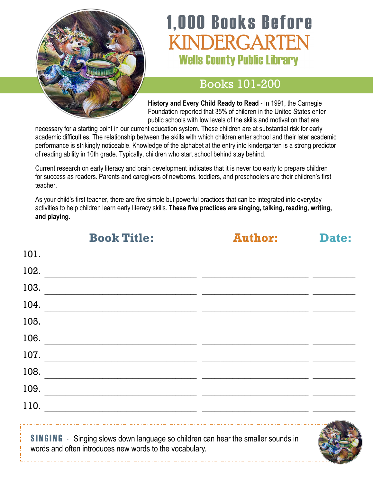

# **1,000 Books Before** INDERGARTEN **Wells County Public Library**

#### Books 101-200

**History and Every Child Ready to Read** - In 1991, the Carnegie Foundation reported that 35% of children in the United States enter public schools with low levels of the skills and motivation that are

necessary for a starting point in our current education system. These children are at substantial risk for early academic difficulties. The relationship between the skills with which children enter school and their later academic performance is strikingly noticeable. Knowledge of the alphabet at the entry into kindergarten is a strong predictor of reading ability in 10th grade. Typically, children who start school behind stay behind.

Current research on early literacy and brain development indicates that it is never too early to prepare children for success as readers. Parents and caregivers of newborns, toddlers, and preschoolers are their children's first teacher.

As your child's first teacher, there are five simple but powerful practices that can be integrated into everyday activities to help children learn early literacy skills. **These five practices are singing, talking, reading, writing, and playing.**

|      | <b>Book Title:</b>                                                                                                   | <b>Author:</b> | <b>Date:</b> |
|------|----------------------------------------------------------------------------------------------------------------------|----------------|--------------|
| 101. |                                                                                                                      |                |              |
| 102. |                                                                                                                      |                |              |
| 103. | <u> 1980 - Jan James James James James James James James James James James James James James James James James J</u> |                |              |
| 104. | <u> 1989 - Andrea Santa Andrea Santa Andrea Santa Andrea Santa Andrea Santa Andrea Santa Andrea Santa Andrea San</u> |                |              |
|      | 105.                                                                                                                 |                |              |
|      | 106.                                                                                                                 |                |              |
|      | 107.                                                                                                                 |                |              |
|      | 108.                                                                                                                 |                |              |
|      | 109.                                                                                                                 |                |              |
|      |                                                                                                                      |                |              |
|      | <b>SINGING</b> - Singing slows down language so children can hear the smaller sounds in                              |                |              |

words and often introduces new words to the vocabulary.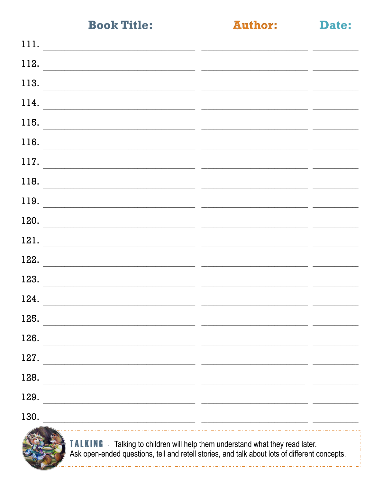**Author:** 

|--|

| 111.<br><u> 1989 - Johann John Stone, mars et al. 1989 - Anna ann an t-Amhain ann an t-Amhain ann an t-Amhain ann an t-A</u>                                                                                                          |  |
|---------------------------------------------------------------------------------------------------------------------------------------------------------------------------------------------------------------------------------------|--|
| 112.<br>the control of the control of the control of the control of the control of the control of the control of the control of the control of the control of the control of the control of the control of the control of the control |  |
| 113.                                                                                                                                                                                                                                  |  |
| 114.                                                                                                                                                                                                                                  |  |
| 115.                                                                                                                                                                                                                                  |  |
| 116.                                                                                                                                                                                                                                  |  |
| 117.                                                                                                                                                                                                                                  |  |
| 118.                                                                                                                                                                                                                                  |  |
| 119.                                                                                                                                                                                                                                  |  |
| 120.                                                                                                                                                                                                                                  |  |
| 121.                                                                                                                                                                                                                                  |  |
| 122.<br>the control of the control of the control of the control of the control of the control of                                                                                                                                     |  |
| 123.                                                                                                                                                                                                                                  |  |
| 124.<br><u> 1980 - Johann Barn, mars and de British Barn, mars and de British Barn, mars and de British Barn, mars and d</u>                                                                                                          |  |
| 125.                                                                                                                                                                                                                                  |  |
| 126.                                                                                                                                                                                                                                  |  |
| 127.                                                                                                                                                                                                                                  |  |
| 128.                                                                                                                                                                                                                                  |  |
| 129.                                                                                                                                                                                                                                  |  |
| 130.<br><u> 1980 - John Stein, amerikansk politik (* 1980)</u>                                                                                                                                                                        |  |
|                                                                                                                                                                                                                                       |  |

TALKING - Talking to children will help them understand what they read later.<br>Ask open-ended questions, tell and retell stories, and talk about lots of different concepts.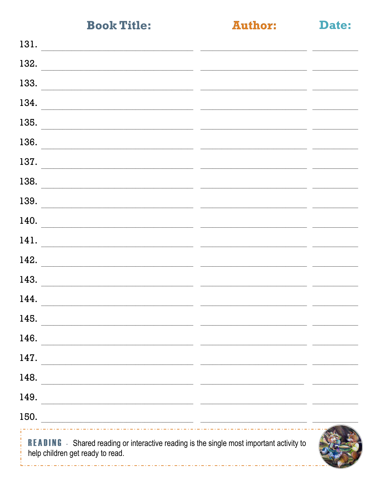**Author:** 

Date:

| 131.                                                                                                                          |                                                                                                                      |  |
|-------------------------------------------------------------------------------------------------------------------------------|----------------------------------------------------------------------------------------------------------------------|--|
| 132.                                                                                                                          |                                                                                                                      |  |
| 133.                                                                                                                          |                                                                                                                      |  |
| 134.                                                                                                                          |                                                                                                                      |  |
| 135.                                                                                                                          |                                                                                                                      |  |
| 136.                                                                                                                          |                                                                                                                      |  |
| 137.                                                                                                                          |                                                                                                                      |  |
| 138.                                                                                                                          |                                                                                                                      |  |
| 139.                                                                                                                          |                                                                                                                      |  |
| 140.                                                                                                                          |                                                                                                                      |  |
| 141.                                                                                                                          |                                                                                                                      |  |
| 142.                                                                                                                          |                                                                                                                      |  |
| 143.                                                                                                                          |                                                                                                                      |  |
| 144.                                                                                                                          |                                                                                                                      |  |
| 145.                                                                                                                          |                                                                                                                      |  |
| 146.                                                                                                                          |                                                                                                                      |  |
| 147.                                                                                                                          |                                                                                                                      |  |
| 148.                                                                                                                          |                                                                                                                      |  |
| 149.                                                                                                                          | <u> 1989 - Jan Samuel Barbara, margaret eta bat zen bat zen bat zen bat zen bat zen bat zen bat zen bat zen bat </u> |  |
| 150.<br><u> 1989 - Johann Harry Harry Harry Harry Harry Harry Harry Harry Harry Harry Harry Harry Harry Harry Harry Harry</u> |                                                                                                                      |  |
|                                                                                                                               | $\alpha$ and $\alpha$ and $\alpha$ and $\alpha$ and $\alpha$ and $\alpha$ and $\alpha$ and $\alpha$ and $\alpha$     |  |

**READING** - Shared reading or interactive reading is the single most important activity to help children get ready to read.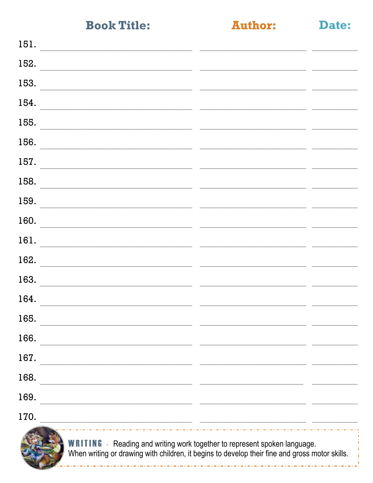**Author:** 

Date:

| 151. |                                                                                                                                                                                    |  |
|------|------------------------------------------------------------------------------------------------------------------------------------------------------------------------------------|--|
| 152. |                                                                                                                                                                                    |  |
| 153. |                                                                                                                                                                                    |  |
| 154. |                                                                                                                                                                                    |  |
| 155. |                                                                                                                                                                                    |  |
| 156. |                                                                                                                                                                                    |  |
| 157. |                                                                                                                                                                                    |  |
| 158. |                                                                                                                                                                                    |  |
| 159. |                                                                                                                                                                                    |  |
| 160. |                                                                                                                                                                                    |  |
| 161. |                                                                                                                                                                                    |  |
| 162. |                                                                                                                                                                                    |  |
| 163. |                                                                                                                                                                                    |  |
| 164. |                                                                                                                                                                                    |  |
| 165. |                                                                                                                                                                                    |  |
| 166. |                                                                                                                                                                                    |  |
| 167. |                                                                                                                                                                                    |  |
|      |                                                                                                                                                                                    |  |
| 168. |                                                                                                                                                                                    |  |
| 169. |                                                                                                                                                                                    |  |
| 170. |                                                                                                                                                                                    |  |
|      | <b>WRITING</b> - Reading and writing work together to represent spoken language.<br>When writing or drawing with children, it begins to develop their fine and gross motor skills. |  |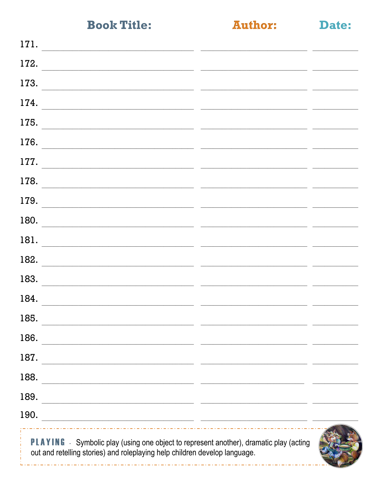**Author:** 

Date:

| 171.                                                                                                                                                                 |  |
|----------------------------------------------------------------------------------------------------------------------------------------------------------------------|--|
| 172.                                                                                                                                                                 |  |
| 173.                                                                                                                                                                 |  |
| 174.                                                                                                                                                                 |  |
| 175.                                                                                                                                                                 |  |
| 176.                                                                                                                                                                 |  |
| 177.                                                                                                                                                                 |  |
| 178.                                                                                                                                                                 |  |
| 179.                                                                                                                                                                 |  |
| 180.                                                                                                                                                                 |  |
| 181.                                                                                                                                                                 |  |
| 182.                                                                                                                                                                 |  |
| 183.                                                                                                                                                                 |  |
| 184.                                                                                                                                                                 |  |
| 185.                                                                                                                                                                 |  |
| 186.                                                                                                                                                                 |  |
| 187.<br><u> 1989 - Johann Barbara, martxa alemaniar a</u>                                                                                                            |  |
| 188.                                                                                                                                                                 |  |
| 189.                                                                                                                                                                 |  |
| 190.<br><u> 2000 - Jan Samuel Barbara, martin da shekarar 1980 - Andrew Samuel Barbara, mashrida a shekarar 1980 - Andrew</u>                                        |  |
| PLAYING - Symbolic play (using one object to represent another), dramatic play (acting<br>out and retelling stories) and roleplaying help children develop language. |  |